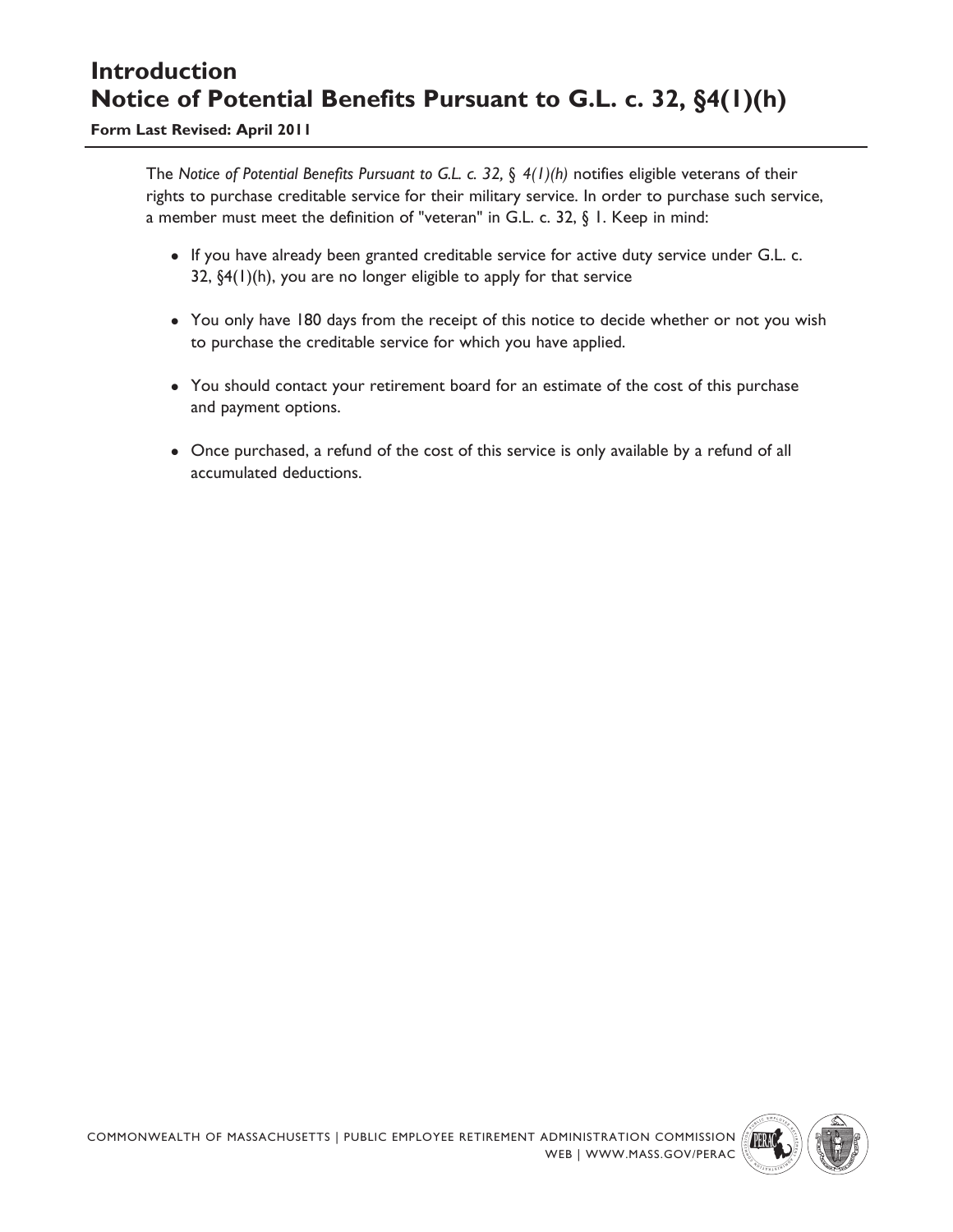# **Introduction Notice of Potential Benefits Pursuant to G.L. c. 32, §4(1)(h)**

**Form Last Revised: April 2011**

The *Notice of Potential Benefits Pursuant to G.L. c. 32, § 4(1)(h)* notifies eligible veterans of their rights to purchase creditable service for their military service. In order to purchase such service, a member must meet the definition of "veteran" in G.L. c. 32, § 1. Keep in mind:

- If you have already been granted creditable service for active duty service under G.L. c. 32, §4(1)(h), you are no longer eligible to apply for that service
- You only have 180 days from the receipt of this notice to decide whether or not you wish to purchase the creditable service for which you have applied.
- You should contact your retirement board for an estimate of the cost of this purchase and payment options.
- Once purchased, a refund of the cost of this service is only available by a refund of all accumulated deductions.

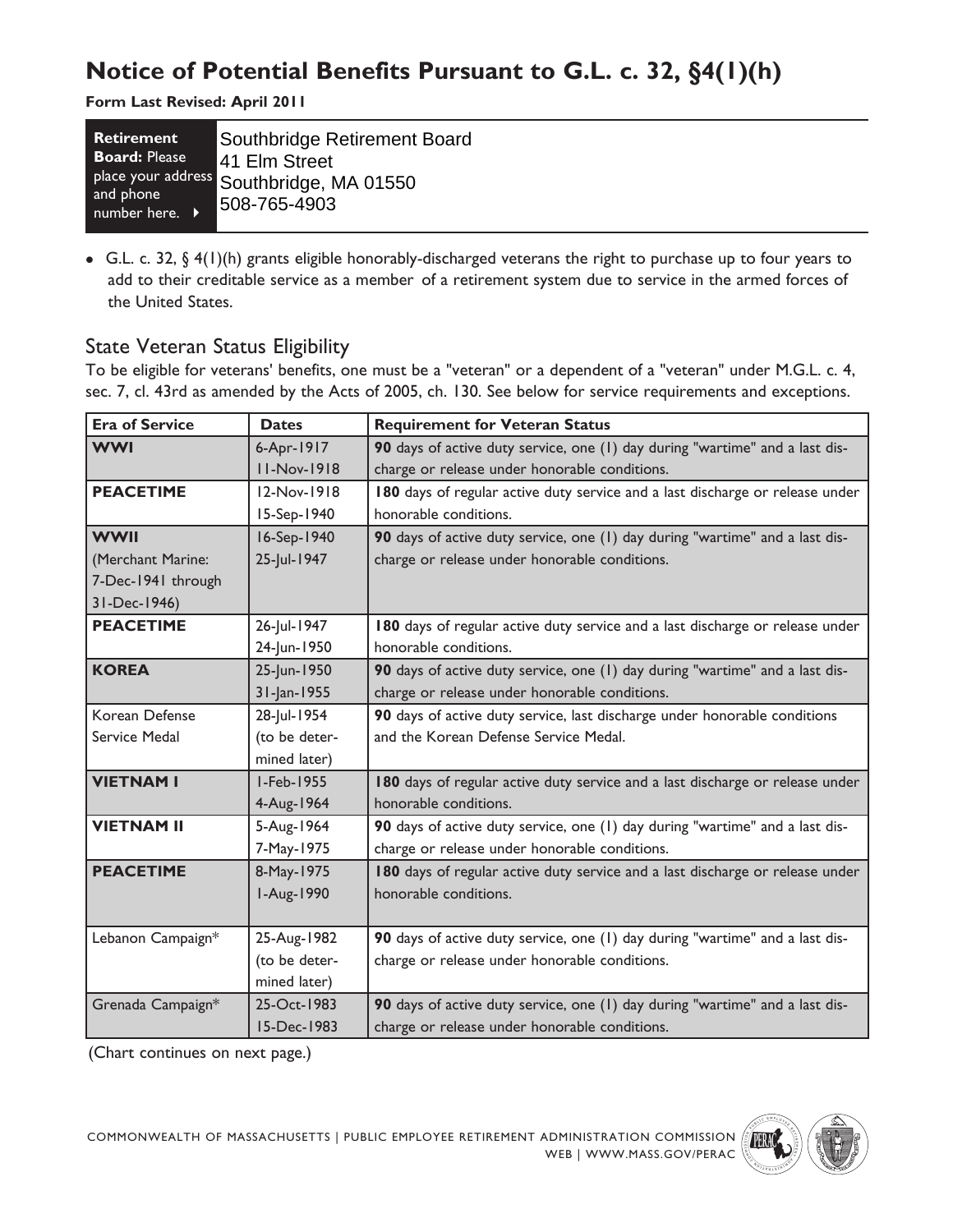# **Notice of Potential Benefits Pursuant to G.L. c. 32, §4(1)(h)**

**Form Last Revised: April 2011**

| <b>Retirement</b>                       | Southbridge Retirement Board                              |
|-----------------------------------------|-----------------------------------------------------------|
| <b>Board: Please</b>                    | 41 Elm Street                                             |
| and phone<br>number here. $\rightarrow$ | place your address Southbridge, MA 01550<br>1508-765-4903 |

 G.L. c. 32, § 4(1)(h) grants eligible honorably-discharged veterans the right to purchase up to four years to add to their creditable service as a member of a retirement system due to service in the armed forces of the United States.

## State Veteran Status Eligibility

To be eligible for veterans' benefits, one must be a "veteran" or a dependent of a "veteran" under M.G.L. c. 4, sec. 7, cl. 43rd as amended by the Acts of 2005, ch. 130. See below for service requirements and exceptions.

| <b>Era of Service</b> | <b>Dates</b>       | <b>Requirement for Veteran Status</b>                                         |  |  |
|-----------------------|--------------------|-------------------------------------------------------------------------------|--|--|
| <b>WWI</b>            | 6-Apr-1917         | 90 days of active duty service, one (1) day during "wartime" and a last dis-  |  |  |
|                       | <b>II-Nov-1918</b> | charge or release under honorable conditions.                                 |  |  |
| <b>PEACETIME</b>      | 12-Nov-1918        | 180 days of regular active duty service and a last discharge or release under |  |  |
|                       | 15-Sep-1940        | honorable conditions.                                                         |  |  |
| <b>WWII</b>           | 16-Sep-1940        | 90 days of active duty service, one (1) day during "wartime" and a last dis-  |  |  |
| (Merchant Marine:     | 25-Jul-1947        | charge or release under honorable conditions.                                 |  |  |
| 7-Dec-1941 through    |                    |                                                                               |  |  |
| 31-Dec-1946)          |                    |                                                                               |  |  |
| <b>PEACETIME</b>      | 26-Jul-1947        | 180 days of regular active duty service and a last discharge or release under |  |  |
|                       | 24-Jun-1950        | honorable conditions.                                                         |  |  |
| <b>KOREA</b>          | 25-Jun-1950        | 90 days of active duty service, one (1) day during "wartime" and a last dis-  |  |  |
|                       | 31-Jan-1955        | charge or release under honorable conditions.                                 |  |  |
| Korean Defense        | 28-Jul-1954        | 90 days of active duty service, last discharge under honorable conditions     |  |  |
| Service Medal         | (to be deter-      | and the Korean Defense Service Medal.                                         |  |  |
|                       | mined later)       |                                                                               |  |  |
| <b>VIETNAM I</b>      | I-Feb-1955         | 180 days of regular active duty service and a last discharge or release under |  |  |
|                       | 4-Aug-1964         | honorable conditions.                                                         |  |  |
| <b>VIETNAM II</b>     | 5-Aug-1964         | 90 days of active duty service, one (1) day during "wartime" and a last dis-  |  |  |
|                       | 7-May-1975         | charge or release under honorable conditions.                                 |  |  |
| <b>PEACETIME</b>      | 8-May-1975         | 180 days of regular active duty service and a last discharge or release under |  |  |
|                       | I-Aug-1990         | honorable conditions.                                                         |  |  |
|                       |                    |                                                                               |  |  |
| Lebanon Campaign*     | 25-Aug-1982        | 90 days of active duty service, one (1) day during "wartime" and a last dis-  |  |  |
|                       | (to be deter-      | charge or release under honorable conditions.                                 |  |  |
|                       | mined later)       |                                                                               |  |  |
| Grenada Campaign*     | 25-Oct-1983        | 90 days of active duty service, one (1) day during "wartime" and a last dis-  |  |  |
|                       | 15-Dec-1983        | charge or release under honorable conditions.                                 |  |  |

(Chart continues on next page.)

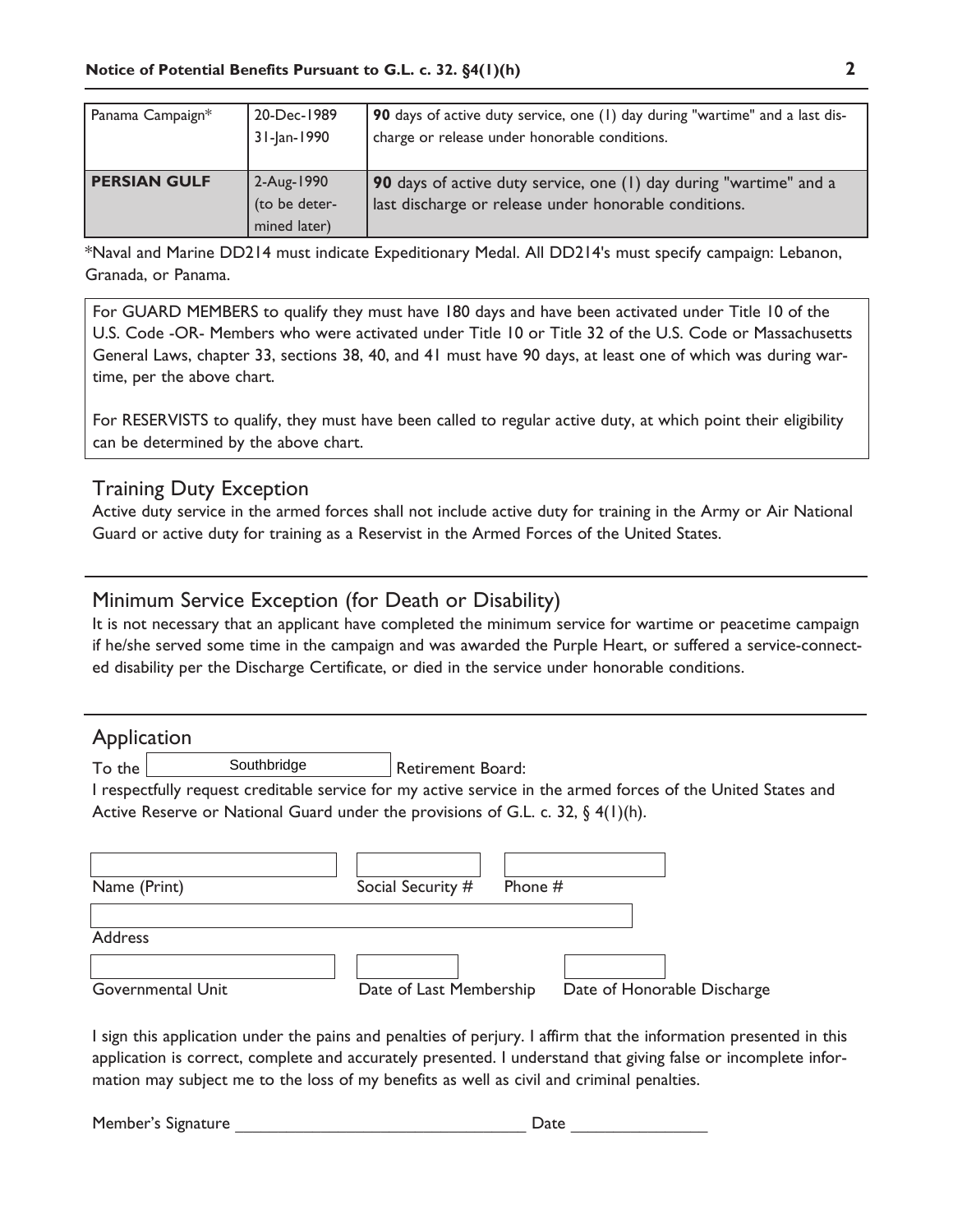| Panama Campaign*    | 20-Dec-1989<br>31-Jan-1990                    | 90 days of active duty service, one (1) day during "wartime" and a last dis-<br>charge or release under honorable conditions. |
|---------------------|-----------------------------------------------|-------------------------------------------------------------------------------------------------------------------------------|
| <b>PERSIAN GULF</b> | $2-Aug-1990$<br>(to be deter-<br>mined later) | 90 days of active duty service, one (1) day during "wartime" and a<br>last discharge or release under honorable conditions.   |

\*Naval and Marine DD214 must indicate Expeditionary Medal. All DD214's must specify campaign: Lebanon, Granada, or Panama.

For GUARD MEMBERS to qualify they must have 180 days and have been activated under Title 10 of the U.S. Code -OR- Members who were activated under Title 10 or Title 32 of the U.S. Code or Massachusetts General Laws, chapter 33, sections 38, 40, and 41 must have 90 days, at least one of which was during wartime, per the above chart.

For RESERVISTS to qualify, they must have been called to regular active duty, at which point their eligibility can be determined by the above chart.

### Training Duty Exception

Active duty service in the armed forces shall not include active duty for training in the Army or Air National Guard or active duty for training as a Reservist in the Armed Forces of the United States.

### Minimum Service Exception (for Death or Disability)

It is not necessary that an applicant have completed the minimum service for wartime or peacetime campaign if he/she served some time in the campaign and was awarded the Purple Heart, or suffered a service-connected disability per the Discharge Certificate, or died in the service under honorable conditions.

#### **Application**

To the Southbridge Retirement Board: Southbridge

I respectfully request creditable service for my active service in the armed forces of the United States and Active Reserve or National Guard under the provisions of G.L. c. 32,  $\S$  4(1)(h).

| Name (Print)      | Social Security #<br>Phone # |                             |
|-------------------|------------------------------|-----------------------------|
| <b>Address</b>    |                              |                             |
| Governmental Unit | Date of Last Membership      | Date of Honorable Discharge |

I sign this application under the pains and penalties of perjury. I affirm that the information presented in this application is correct, complete and accurately presented. I understand that giving false or incomplete information may subject me to the loss of my benefits as well as civil and criminal penalties.

Member's Signature **Example 20** and the Date  $\Box$